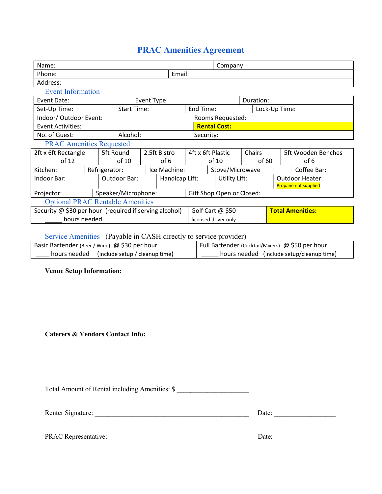# PRAC Amenities Agreement

| Name:                                                  |                                 |                     |                |                      | Company:                  |                         |        |               |                                                       |  |
|--------------------------------------------------------|---------------------------------|---------------------|----------------|----------------------|---------------------------|-------------------------|--------|---------------|-------------------------------------------------------|--|
| Phone:                                                 |                                 |                     |                | Email:               |                           |                         |        |               |                                                       |  |
| Address:                                               |                                 |                     |                |                      |                           |                         |        |               |                                                       |  |
| <b>Event Information</b>                               |                                 |                     |                |                      |                           |                         |        |               |                                                       |  |
| Event Date:<br>Event Type:                             |                                 |                     |                | Duration:            |                           |                         |        |               |                                                       |  |
| <b>Start Time:</b><br>Set-Up Time:                     |                                 |                     |                |                      | End Time:                 |                         |        | Lock-Up Time: |                                                       |  |
| Indoor/ Outdoor Event:                                 |                                 |                     |                |                      | Rooms Requested:          |                         |        |               |                                                       |  |
| <b>Event Activities:</b>                               |                                 |                     |                |                      | <b>Rental Cost:</b>       |                         |        |               |                                                       |  |
| Alcohol:<br>No. of Guest:                              |                                 |                     |                |                      | Security:                 |                         |        |               |                                                       |  |
|                                                        | <b>PRAC Amenities Requested</b> |                     |                |                      |                           |                         |        |               |                                                       |  |
| 5ft Round<br>2ft x 6ft Rectangle                       |                                 |                     | 2.5ft Bistro   |                      | 4ft x 6ft Plastic         |                         | Chairs |               | 5ft Wooden Benches                                    |  |
| of 12                                                  |                                 | of 10               |                | of 6                 |                           | of 10                   | of 60  | of 6          |                                                       |  |
| Kitchen:                                               | Refrigerator:                   |                     |                | Ice Machine:         |                           | Stove/Microwave         |        |               | Coffee Bar:                                           |  |
| Indoor Bar:                                            |                                 | Outdoor Bar:        | Handicap Lift: |                      |                           | Utility Lift:           |        |               | <b>Outdoor Heater:</b><br><b>Propane not supplied</b> |  |
| Projector:                                             |                                 | Speaker/Microphone: |                |                      | Gift Shop Open or Closed: |                         |        |               |                                                       |  |
| <b>Optional PRAC Rentable Amenities</b>                |                                 |                     |                |                      |                           |                         |        |               |                                                       |  |
| Security @ \$30 per hour (required if serving alcohol) |                                 |                     |                | Golf Cart $@$ \$50   |                           | <b>Total Amenities:</b> |        |               |                                                       |  |
| hours needed                                           |                                 |                     |                | licensed driver only |                           |                         |        |               |                                                       |  |

### Service Amenities (Payable in CASH directly to service provider)

| Basic Bartender (Beer / Wine) $\omega$ \$30 per hour | Full Bartender (Cocktail/Mixers) @ \$50 per hour |
|------------------------------------------------------|--------------------------------------------------|
| hours needed (include setup / cleanup time)          | hours needed (include setup/cleanup time)        |

#### Venue Setup Information:

#### Caterers & Vendors Contact Info:

Total Amount of Rental including Amenities: \$

| <b>Renter Signature:</b> | )ate |
|--------------------------|------|
|                          |      |

| <b>PRAC Representative:</b> |  |
|-----------------------------|--|
|                             |  |

| $\cdot$ . $\cdot$ . The $\cdot$<br>--<br><br>. . |  |
|--------------------------------------------------|--|
|                                                  |  |